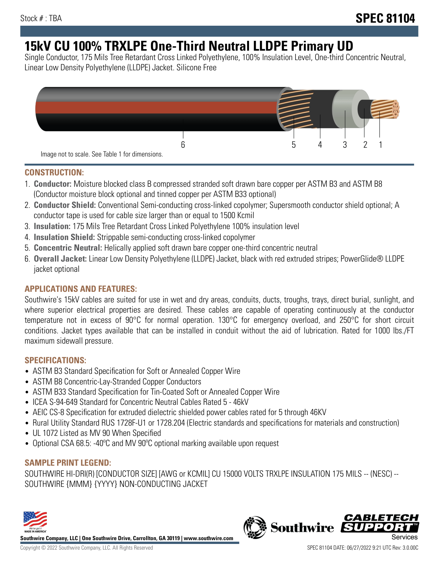# **15kV CU 100% TRXLPE One-Third Neutral LLDPE Primary UD**

Single Conductor, 175 Mils Tree Retardant Cross Linked Polyethylene, 100% Insulation Level, One-third Concentric Neutral, Linear Low Density Polyethylene (LLDPE) Jacket. Silicone Free



### **CONSTRUCTION:**

- 1. **Conductor:** Moisture blocked class B compressed stranded soft drawn bare copper per ASTM B3 and ASTM B8 (Conductor moisture block optional and tinned copper per ASTM B33 optional)
- 2. **Conductor Shield:** Conventional Semi-conducting cross-linked copolymer; Supersmooth conductor shield optional; A conductor tape is used for cable size larger than or equal to 1500 Kcmil
- 3. **Insulation:** 175 Mils Tree Retardant Cross Linked Polyethylene 100% insulation level
- 4. **Insulation Shield:** Strippable semi-conducting cross-linked copolymer
- 5. **Concentric Neutral:** Helically applied soft drawn bare copper one-third concentric neutral
- 6. **Overall Jacket:** Linear Low Density Polyethylene (LLDPE) Jacket, black with red extruded stripes; PowerGlide® LLDPE jacket optional

# **APPLICATIONS AND FEATURES:**

Southwire's 15kV cables are suited for use in wet and dry areas, conduits, ducts, troughs, trays, direct burial, sunlight, and where superior electrical properties are desired. These cables are capable of operating continuously at the conductor temperature not in excess of 90°C for normal operation. 130°C for emergency overload, and 250°C for short circuit conditions. Jacket types available that can be installed in conduit without the aid of lubrication. Rated for 1000 lbs./FT maximum sidewall pressure.

# **SPECIFICATIONS:**

- ASTM B3 Standard Specification for Soft or Annealed Copper Wire
- ASTM B8 Concentric-Lay-Stranded Copper Conductors
- ASTM B33 Standard Specification for Tin-Coated Soft or Annealed Copper Wire
- ICEA S-94-649 Standard for Concentric Neutral Cables Rated 5 46kV
- AEIC CS-8 Specification for extruded dielectric shielded power cables rated for 5 through 46KV
- Rural Utility Standard RUS 1728F-U1 or 1728.204 (Electric standards and specifications for materials and construction)
- UL 1072 Listed as MV 90 When Specified
- Optional CSA 68.5: -40ºC and MV 90ºC optional marking available upon request

# **SAMPLE PRINT LEGEND:**

SOUTHWIRE HI-DRI(R) [CONDUCTOR SIZE] [AWG or KCMIL] CU 15000 VOLTS TRXLPE INSULATION 175 MILS -- (NESC) -- SOUTHWIRE {MMM} {YYYY} NON-CONDUCTING JACKET



**Southwire Company, LLC | One Southwire Drive, Carrollton, GA 30119 | www.southwire.com**

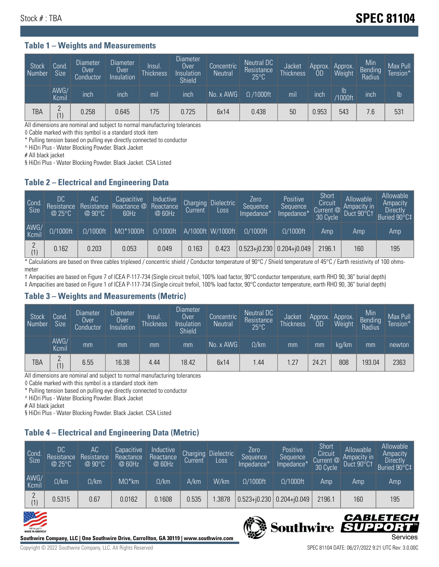# Stock # : TBA **SPEC 81104**

#### **Table 1 – Weights and Measurements**

| <b>Stock</b><br>Number | Cond.<br><b>Size</b> | <b>Diameter</b><br>Over<br>Conductor | <b>Diameter</b><br>Over<br>Insulation | lnsul.<br>Thickness | <b>Diameter</b><br>Over<br>Insulation<br><b>Shield</b> | Concentric<br><b>Neutral</b> | Neutral DC<br>Resistance<br>$25^{\circ}$ C | Jacket<br><b>Thickness</b> | Approx.<br>0D | Approx.<br>Weight        | Min<br><b>Bending</b><br>Radius | Max Pull<br>Tension* |
|------------------------|----------------------|--------------------------------------|---------------------------------------|---------------------|--------------------------------------------------------|------------------------------|--------------------------------------------|----------------------------|---------------|--------------------------|---------------------------------|----------------------|
|                        | AWG/<br>Kcmil        | inch                                 | inch                                  | mil                 | inch                                                   | No. x AWG                    | $\Omega$ /1000ft                           | mil                        | inch          | $\mathsf{lb}$<br>/1000ft | inch                            | Ib                   |
| TBA                    | $\Omega$<br>(1)      | 0.258                                | 0.645                                 | .75                 | 0.725                                                  | 6x14                         | 0.438                                      | 50                         | 0.953         | 543                      | 7.6                             | 531                  |

All dimensions are nominal and subject to normal manufacturing tolerances

◊ Cable marked with this symbol is a standard stock item

\* Pulling tension based on pulling eye directly connected to conductor

^ HiDri Plus - Water Blocking Powder. Black Jacket

# All black jacket

§ HiDri Plus - Water Blocking Powder. Black Jacket. CSA Listed

### **Table 2 – Electrical and Engineering Data**

| Cond.<br>Size | 'DC<br>Resistance<br>@25°C | <b>AC</b><br>Resistance<br>$@90^{\circ}C$ | Capacitive<br>Reactance @<br>60Hz | Inductive<br>Reactance<br>@ 60Hz | Charging<br>Current | <b>Dielectric</b><br>Loss | Zero<br>Sequence<br>Impedance* | Positive<br>Sequence<br>Impedance* | Short<br>Circuit<br>Current @<br>30 Cycle | Allowable<br>Ampacity in<br>Duct 90°C1 | Allowable<br>Ampacity<br>Directly<br>Buried 90°C‡ |
|---------------|----------------------------|-------------------------------------------|-----------------------------------|----------------------------------|---------------------|---------------------------|--------------------------------|------------------------------------|-------------------------------------------|----------------------------------------|---------------------------------------------------|
| AWG/<br>Kcmil | $\Omega/1000$ ft           | $\Omega/1000$ ft                          | $M\Omega^*1000$ ft                | $\Omega/1000$ ft                 |                     | A/1000ft W/1000ft         | $\Omega/1000$ ft               | $\Omega/1000$ ft                   | Amp                                       | Amp                                    | Amp                                               |
| (1)           | 0.162                      | 0.203                                     | 0.053                             | 0.049                            | 0.163               | 0.423                     | $0.523 + 0.230$ 0.204+ $0.049$ |                                    | 2196.1                                    | 160                                    | 195                                               |

\* Calculations are based on three cables triplexed / concentric shield / Conductor temperature of 90°C / Shield temperature of 45°C / Earth resistivity of 100 ohmsmeter

† Ampacities are based on Figure 7 of ICEA P-117-734 (Single circuit trefoil, 100% load factor, 90°C conductor temperature, earth RHO 90, 36" burial depth) ‡ Ampacities are based on Figure 1 of ICEA P-117-734 (Single circuit trefoil, 100% load factor, 90°C conductor temperature, earth RHO 90, 36" burial depth)

### **Table 3 – Weights and Measurements (Metric)**

| Stock<br>Number | Cond.<br><b>Size</b> | Diameter<br>Over<br>Conductor | Diameter,<br><b>Over</b><br>Insulation | Insul.<br><b>Thickness</b> | <b>Diameter</b><br>Over<br>Insulation<br><b>Shield</b> | Concentric<br><b>Neutral</b> | Neutral DC<br>Resistance<br>$25^{\circ}$ C | Jacket<br><b>Thickness</b> | Approx.<br>0D | Approx.<br>Weight | Min<br>Bending<br>Radius | Max Pull<br>Tension* |
|-----------------|----------------------|-------------------------------|----------------------------------------|----------------------------|--------------------------------------------------------|------------------------------|--------------------------------------------|----------------------------|---------------|-------------------|--------------------------|----------------------|
|                 | AWG/<br>Kcmil        | mm                            | mm                                     | mm                         | mm                                                     | No. x AWG                    | $\Omega$ /km                               | mm                         | mm            | kg/km             | mm                       | newton               |
| TBA             | C<br>(1)             | 6.55                          | 16.38                                  | 4.44                       | 18.42                                                  | 6x14                         | .44                                        | 1.27                       | 24.21         | 808               | 193.04                   | 2363                 |

All dimensions are nominal and subject to normal manufacturing tolerances

◊ Cable marked with this symbol is a standard stock item

\* Pulling tension based on pulling eye directly connected to conductor

^ HiDri Plus - Water Blocking Powder. Black Jacket

# All black jacket

§ HiDri Plus - Water Blocking Powder. Black Jacket. CSA Listed

# **Table 4 – Electrical and Engineering Data (Metric)**

| Cond<br>Size  | DC<br>Resistance<br>@25°C | АC<br>Resistance<br>@90°C | Capacitive<br>Reactance<br>@ 60Hz | Inductive<br>Reactance<br>@ 60Hz | Charging<br>Current | <b>Dielectric</b><br>Loss | Zero<br>Sequence<br>Impedance* | Positive<br>Sequence<br>Impedance* | Short<br>Circuit<br>Current @<br>30 Cycle | Allowable<br>Ampacity in<br>Duct 90°C1 | Allowable<br>Ampacity<br>Directly<br>Buried 90°C‡ |
|---------------|---------------------------|---------------------------|-----------------------------------|----------------------------------|---------------------|---------------------------|--------------------------------|------------------------------------|-------------------------------------------|----------------------------------------|---------------------------------------------------|
| AWG/<br>Kcmil | $\Omega$ /km              | $\Omega$ /km              | $M\Omega^*$ km                    | $\Omega$ /km                     | A/km                | W/km                      | $\Omega/1000$ ft               | $\Omega/1000$ ft                   | Amp                                       | Amp                                    | Amp                                               |
| C             | 0.5315                    | 0.67                      | 0.0162                            | 0.1608                           | 0.535               | .3878                     | $0.523 + 0.230$                | $0.204 + 0.049$                    | 2196.1                                    | 160                                    | 195                                               |





Copyright © 2022 Southwire Company, LLC. All Rights Reserved SPEC 81104 DATE: 06/27/2022 9:21 UTC Rev: 3.0.00C